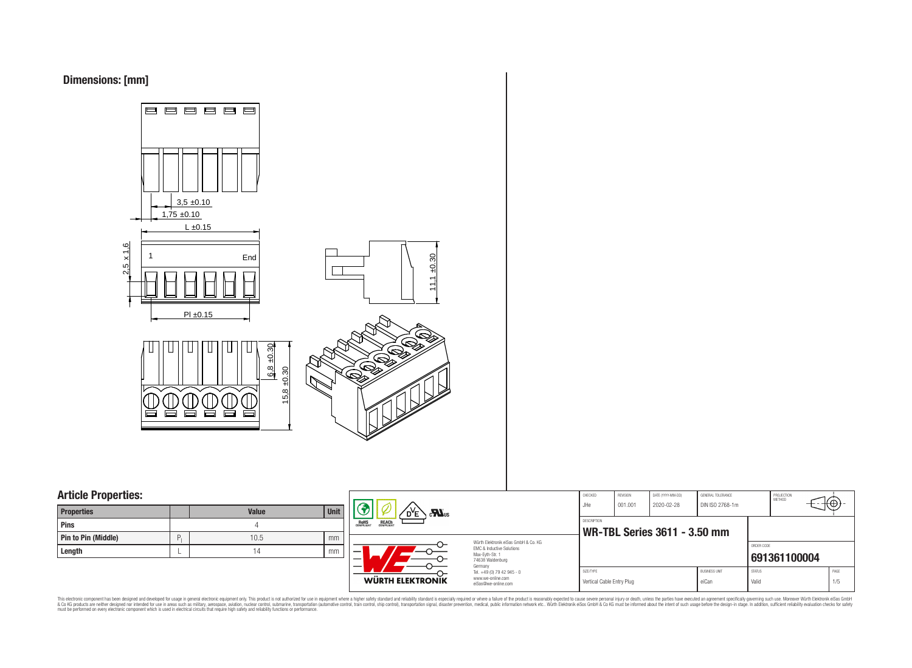## **Dimensions: [mm]**



# **Article Properties:**

| <b>Properties</b>          | Value | <b>Unit</b> |
|----------------------------|-------|-------------|
| <b>Pins</b>                |       |             |
| <b>Pin to Pin (Middle)</b> | 10.5  | mm          |
| Length                     | 14    | mm          |
|                            |       |             |



This electronic component has been designed and developed for usage in general electronic equipment only. This product is not authorized for subserved requipment where a higher selection equipment where a higher selection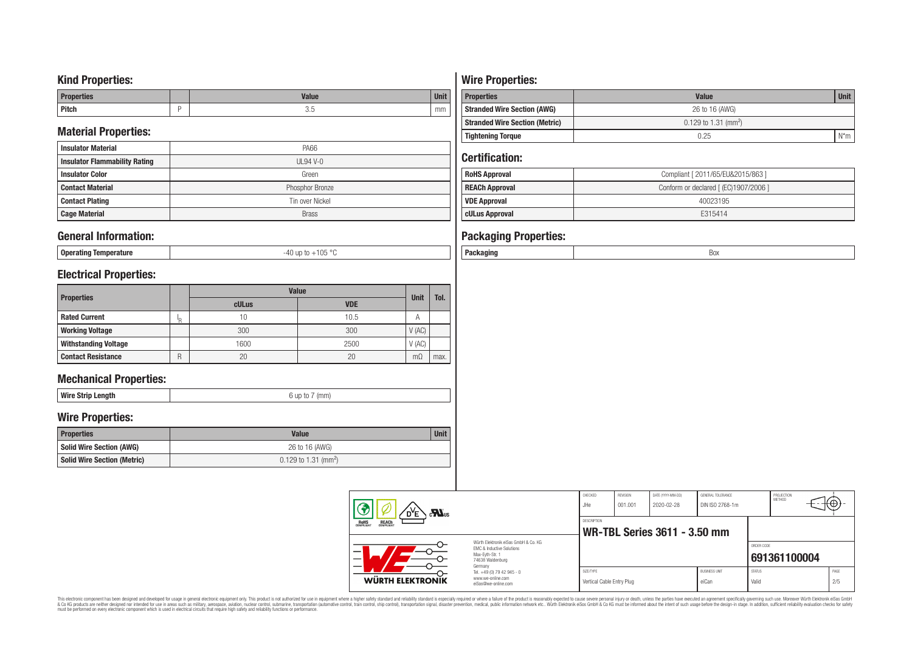# **Kind Properties:**

| <b>Properties</b> | <b>Value</b> | <b>Unit</b> |
|-------------------|--------------|-------------|
| <b>Pitch</b>      | ບ.∪          | mm          |

# **Material Properties:**

| <b>Insulator Material</b>            | PA66            |  |  |  |  |  |
|--------------------------------------|-----------------|--|--|--|--|--|
| <b>Insulator Flammability Rating</b> | $UL94V-0$       |  |  |  |  |  |
| <b>Insulator Color</b>               | Green           |  |  |  |  |  |
| <b>Contact Material</b>              | Phosphor Bronze |  |  |  |  |  |
| <b>Contact Plating</b>               | Tin over Nickel |  |  |  |  |  |
| <b>Cage Material</b>                 | <b>Brass</b>    |  |  |  |  |  |

# **General Information:**

| Operating Temperature | -40 up to +105 °C |
|-----------------------|-------------------|

# **Electrical Properties:**

| <b>Properties</b>           |    | <b>Value</b> | <b>Unit</b> | Tol.                      |      |
|-----------------------------|----|--------------|-------------|---------------------------|------|
|                             |    | cULus        | <b>VDE</b>  |                           |      |
| <b>Rated Current</b>        | Ιp | 10           | 10.5        | $\boldsymbol{\mathsf{A}}$ |      |
| <b>Working Voltage</b>      |    | 300          | 300         | V(AC)                     |      |
| <b>Withstanding Voltage</b> |    | 1600         | 2500        | V(AC)                     |      |
| <b>Contact Resistance</b>   | R  | 20           | 20          | $m\Omega$                 | max. |

# **Mechanical Properties:**

| Wir<br>-----<br>enam<br>a i<br>ш<br><br>-9 |
|--------------------------------------------|
|--------------------------------------------|

# **Wire Properties:**

| <b>Properties</b>                  | <b>Value</b>                     |  |  |  |  |  |
|------------------------------------|----------------------------------|--|--|--|--|--|
| Solid Wire Section (AWG)           | 26 to 16 (AWG)                   |  |  |  |  |  |
| <b>Solid Wire Section (Metric)</b> | 0.129 to 1.31 (mm <sup>2</sup> ) |  |  |  |  |  |

# **Wire Properties:**

| <b>Properties</b>                     | <b>Value</b>                       | <b>Unit</b>  |
|---------------------------------------|------------------------------------|--------------|
| <b>Stranded Wire Section (AWG)</b>    | 26 to 16 (AWG)                     |              |
| <b>Stranded Wire Section (Metric)</b> | $0.129$ to 1.31 (mm <sup>2</sup> ) |              |
| <b>Tightening Torque</b>              | 0.25                               | $N^{\star}m$ |

# **Certification:**

| <b>RoHS Approval</b>  | Compliant [ 2011/65/EU&2015/863 ]     |
|-----------------------|---------------------------------------|
| <b>REACh Approval</b> | Conform or declared [ (EC)1907/2006 ] |
| <b>VDE Approval</b>   | 40023195                              |
| cULus Approval        | F315414                               |

# **Packaging Properties:**

|  |  | w |
|--|--|---|
|--|--|---|

| P<br>$\sum_{s}$                                                                                          |                                                                                   | CHECKED<br>JHe                         | <b>REVISION</b><br>001.001 | DATE (YYYY-MM-DD)<br>2020-02-28 | GENERAL TOLERANCE<br>DIN ISO 2768-1m |                        | PROJECTION<br>METHOD | ₩           |
|----------------------------------------------------------------------------------------------------------|-----------------------------------------------------------------------------------|----------------------------------------|----------------------------|---------------------------------|--------------------------------------|------------------------|----------------------|-------------|
| <b>REACH</b><br>COMPLIANT<br>ROHS<br>COMPLIANT                                                           |                                                                                   | DESCRIPTION                            |                            | WR-TBL Series 3611 - 3.50 mm    |                                      |                        |                      |             |
| Würth Flektronik eiSos GmbH & Co. KG<br>EMC & Inductive Solutions<br>Max-Eyth-Str. 1<br>74638 Waldenburg |                                                                                   |                                        |                            |                                 |                                      | ORDER CODE             | 691361100004         |             |
| WÜRTH ELEKTRONIK                                                                                         | Germany<br>Tel. +49 (0) 79 42 945 - 0<br>www.we-online.com<br>eiSos@we-online.com | SIZE/TYPE<br>Vertical Cable Entry Plug |                            |                                 | <b>BUSINESS UNIT</b><br>eiCan        | <b>STATUS</b><br>Valid |                      | PAGE<br>2/5 |

This electronic component has been designed and developed for usage in general electronic equipment only. This product is not authorized for subserved requipment where a higher selection equipment where a higher selection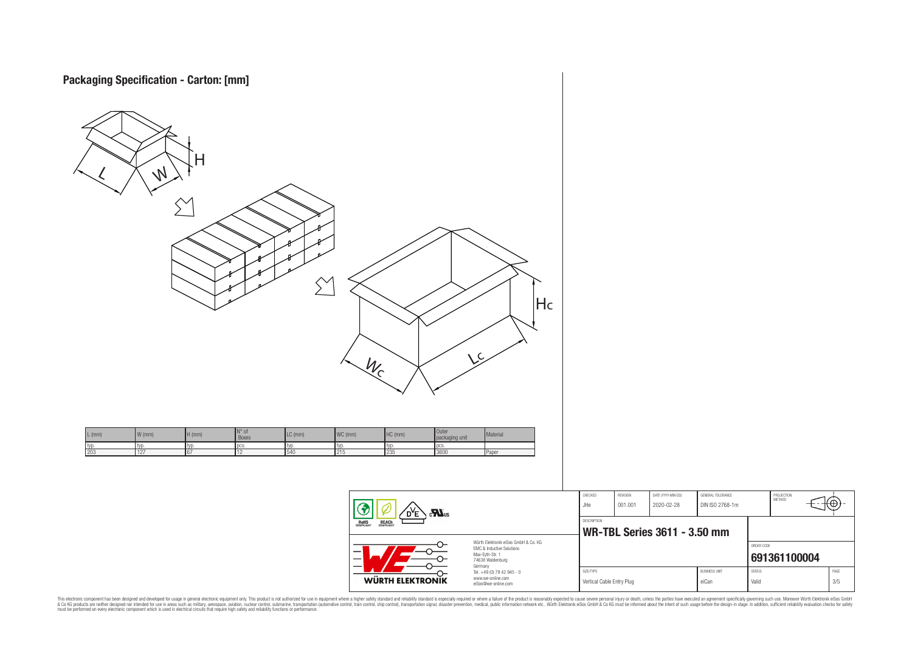



**WR-TBL Series 3611 - 3.50 mm** ORDER CODE **[691361100004](https://katalog.we-online.de/en/em/WR-TBL/691361100004)** Germany Tel. +49 (0) 79 42 945 - 0 SIZE/TYPE BUSINESS UNIT STATUS PAGE www.we-online.com WÜRTH ELEKTRONIK Vertical Cable Entry Plug eiCan values and the Valid valid values of the Subset of the Subset of the Subset of the Subset of the Subset of the Subset of the Subset of the Subset of the Subset of the Subset of the Subset of eiSos@we-online.com

PROJECTION<br>METHOD

łΘ

This electronic component has been designed and developed for usage in general electronic equipment only. This product is not authorized for subserved requipment where a higher selection equipment where a higher selection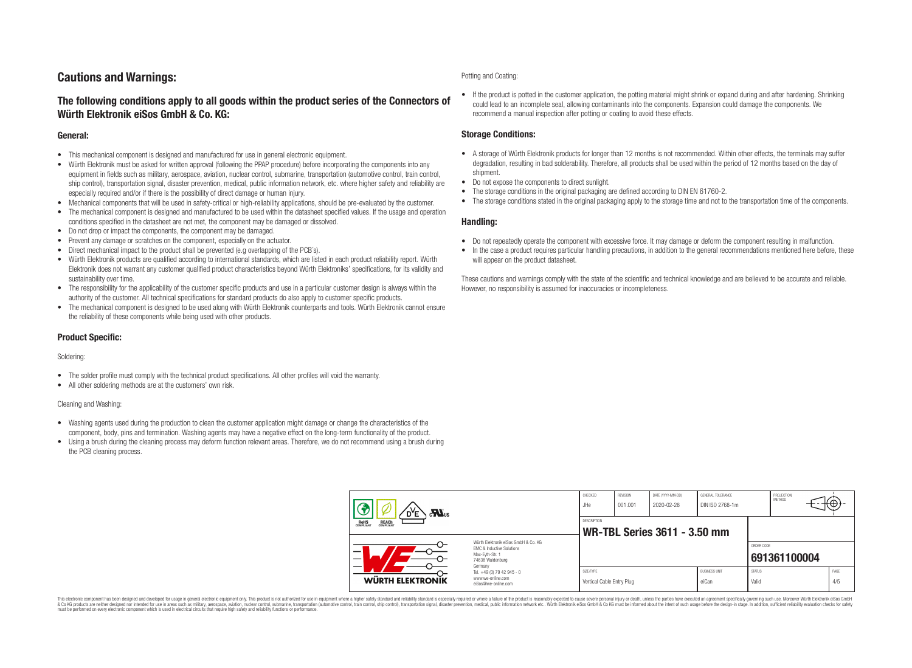# **Cautions and Warnings:**

## **The following conditions apply to all goods within the product series of the Connectors of Würth Elektronik eiSos GmbH & Co. KG:**

### **General:**

- This mechanical component is designed and manufactured for use in general electronic equipment.
- Würth Elektronik must be asked for written approval (following the PPAP procedure) before incorporating the components into any equipment in fields such as military, aerospace, aviation, nuclear control, submarine, transportation (automotive control, train control, ship control), transportation signal, disaster prevention, medical, public information network, etc. where higher safety and reliability are especially required and/or if there is the possibility of direct damage or human injury.
- Mechanical components that will be used in safety-critical or high-reliability applications, should be pre-evaluated by the customer.
- The mechanical component is designed and manufactured to be used within the datasheet specified values. If the usage and operation conditions specified in the datasheet are not met, the component may be damaged or dissolved.
- Do not drop or impact the components, the component may be damaged.
- Prevent any damage or scratches on the component, especially on the actuator.
- Direct mechanical impact to the product shall be prevented (e.g overlapping of the PCB's).
- Würth Elektronik products are qualified according to international standards, which are listed in each product reliability report. Würth Elektronik does not warrant any customer qualified product characteristics beyond Würth Elektroniks' specifications, for its validity and sustainability over time.
- The responsibility for the applicability of the customer specific products and use in a particular customer design is always within the authority of the customer. All technical specifications for standard products do also apply to customer specific products.
- The mechanical component is designed to be used along with Würth Elektronik counterparts and tools. Würth Elektronik cannot ensure the reliability of these components while being used with other products.

## **Product Specific:**

#### Soldering:

- The solder profile must comply with the technical product specifications. All other profiles will void the warranty.
- All other soldering methods are at the customers' own risk.

#### Cleaning and Washing:

- Washing agents used during the production to clean the customer application might damage or change the characteristics of the component, body, pins and termination. Washing agents may have a negative effect on the long-term functionality of the product.
- Using a brush during the cleaning process may deform function relevant areas. Therefore, we do not recommend using a brush during the PCB cleaning process.

#### Potting and Coating:

• If the product is potted in the customer application, the potting material might shrink or expand during and after hardening. Shrinking could lead to an incomplete seal, allowing contaminants into the components. Expansion could damage the components. We recommend a manual inspection after potting or coating to avoid these effects.

## **Storage Conditions:**

- A storage of Würth Elektronik products for longer than 12 months is not recommended. Within other effects, the terminals may suffer degradation, resulting in bad solderability. Therefore, all products shall be used within the period of 12 months based on the day of shipment.
- Do not expose the components to direct sunlight.
- The storage conditions in the original packaging are defined according to DIN EN 61760-2.
- The storage conditions stated in the original packaging apply to the storage time and not to the transportation time of the components.

#### **Handling:**

- Do not repeatedly operate the component with excessive force. It may damage or deform the component resulting in malfunction.
- In the case a product requires particular handling precautions, in addition to the general recommendations mentioned here before, these will appear on the product datasheet.

These cautions and warnings comply with the state of the scientific and technical knowledge and are believed to be accurate and reliable. However, no responsibility is assumed for inaccuracies or incompleteness.

| $\sum_{\mathbf{u}}$                                                                                                 |                                                                        | CHECKED<br>JHe                         | REVISION<br>001.001 | DATE (YYYY-MM-DD)<br>2020-02-28     | GENERAL TOLERANCE<br>DIN ISO 2768-1m |                        | PROJECTION<br><b>METHOD</b> |             |
|---------------------------------------------------------------------------------------------------------------------|------------------------------------------------------------------------|----------------------------------------|---------------------|-------------------------------------|--------------------------------------|------------------------|-----------------------------|-------------|
| <b>ROHS</b><br>COMPLIANT<br><b>REACH</b><br>COMPLIANT                                                               |                                                                        | DESCRIPTION                            |                     | <b>WR-TBL Series 3611 - 3.50 mm</b> |                                      |                        |                             |             |
| Würth Flektronik eiSos GmbH & Co. KG<br>FMC & Inductive Solutions<br>Max-Evth-Str. 1<br>74638 Waldenburg<br>Germany |                                                                        |                                        |                     |                                     |                                      | ORDER CODE             | 691361100004                |             |
| <b>WÜRTH ELEKTRONIK</b>                                                                                             | Tel. +49 (0) 79 42 945 - 0<br>www.we-online.com<br>eiSos@we-online.com | SIZE/TYPE<br>Vertical Cable Entry Plug |                     |                                     | <b>BUSINESS UNIT</b><br>eiCan        | <b>STATUS</b><br>Valid |                             | PAGE<br>4/5 |

This electronic component has been designed and developed for usage in general electronic equipment only. This product is not authorized for use in equipment where a higher safety standard and reliability standard si espec & Ook product a label and the membed of the seasuch as marked and as which such a membed and the such assume that income in the seasuch and the simulation and the such assume that include to the such a membed and the such